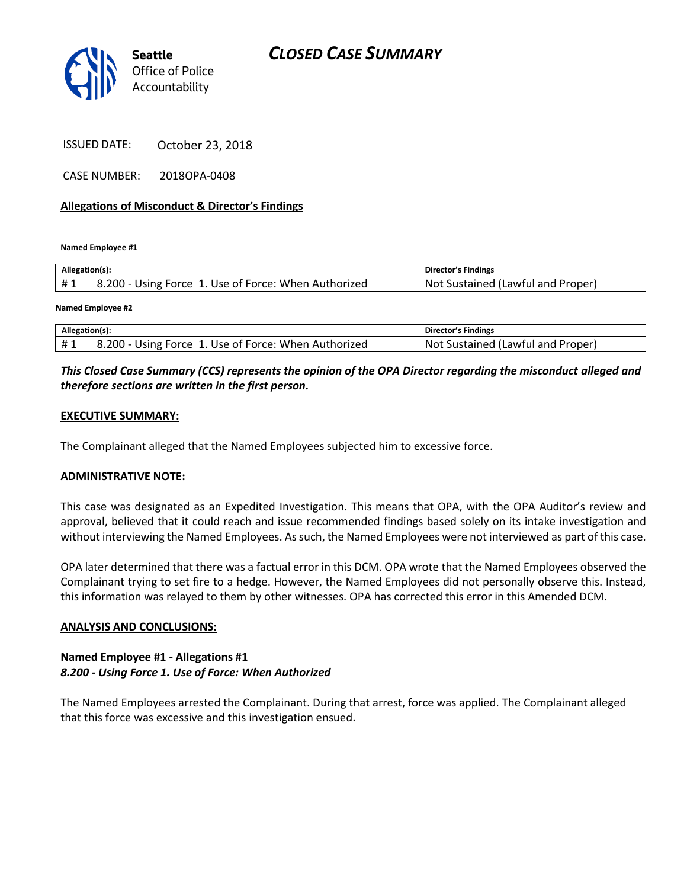# *CLOSED CASE SUMMARY*



ISSUED DATE: October 23, 2018

CASE NUMBER: 2018OPA-0408

## **Allegations of Misconduct & Director's Findings**

**Named Employee #1**

| Allegation(s): |                                                      | Director's Findings               |
|----------------|------------------------------------------------------|-----------------------------------|
| #1             | 8.200 - Using Force 1. Use of Force: When Authorized | Not Sustained (Lawful and Proper) |
|                |                                                      |                                   |

**Named Employee #2**

| Allegation(s): |                                                               | Director's Findings               |
|----------------|---------------------------------------------------------------|-----------------------------------|
|                | $8.200 - L$<br>- Using Force 1. Use of Force: When Authorized | Not Sustained (Lawful and Proper) |

# *This Closed Case Summary (CCS) represents the opinion of the OPA Director regarding the misconduct alleged and therefore sections are written in the first person.*

## **EXECUTIVE SUMMARY:**

The Complainant alleged that the Named Employees subjected him to excessive force.

#### **ADMINISTRATIVE NOTE:**

This case was designated as an Expedited Investigation. This means that OPA, with the OPA Auditor's review and approval, believed that it could reach and issue recommended findings based solely on its intake investigation and without interviewing the Named Employees. As such, the Named Employees were not interviewed as part of this case.

OPA later determined that there was a factual error in this DCM. OPA wrote that the Named Employees observed the Complainant trying to set fire to a hedge. However, the Named Employees did not personally observe this. Instead, this information was relayed to them by other witnesses. OPA has corrected this error in this Amended DCM.

#### **ANALYSIS AND CONCLUSIONS:**

## **Named Employee #1 - Allegations #1** *8.200 - Using Force 1. Use of Force: When Authorized*

The Named Employees arrested the Complainant. During that arrest, force was applied. The Complainant alleged that this force was excessive and this investigation ensued.